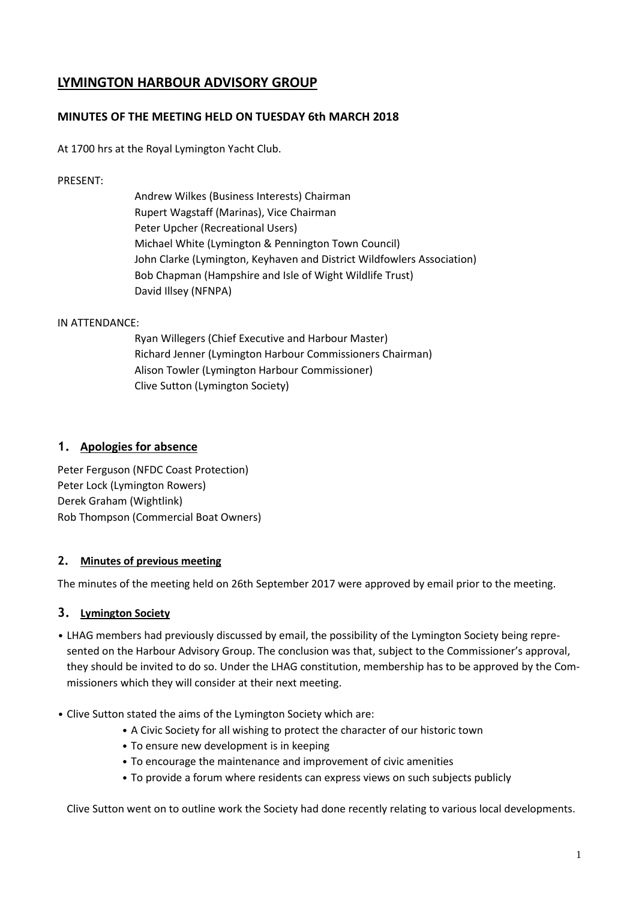# **LYMINGTON HARBOUR ADVISORY GROUP**

### **MINUTES OF THE MEETING HELD ON TUESDAY 6th MARCH 2018**

At 1700 hrs at the Royal Lymington Yacht Club.

#### PRESENT:

Andrew Wilkes (Business Interests) Chairman Rupert Wagstaff (Marinas), Vice Chairman Peter Upcher (Recreational Users) Michael White (Lymington & Pennington Town Council) John Clarke (Lymington, Keyhaven and District Wildfowlers Association) Bob Chapman (Hampshire and Isle of Wight Wildlife Trust) David Illsey (NFNPA)

#### IN ATTENDANCE:

Ryan Willegers (Chief Executive and Harbour Master) Richard Jenner (Lymington Harbour Commissioners Chairman) Alison Towler (Lymington Harbour Commissioner) Clive Sutton (Lymington Society)

### **1. Apologies for absence**

Peter Ferguson (NFDC Coast Protection) Peter Lock (Lymington Rowers) Derek Graham (Wightlink) Rob Thompson (Commercial Boat Owners)

#### **2. Minutes of previous meeting**

The minutes of the meeting held on 26th September 2017 were approved by email prior to the meeting.

#### **3. Lymington Society**

- LHAG members had previously discussed by email, the possibility of the Lymington Society being represented on the Harbour Advisory Group. The conclusion was that, subject to the Commissioner's approval, they should be invited to do so. Under the LHAG constitution, membership has to be approved by the Commissioners which they will consider at their next meeting.
- Clive Sutton stated the aims of the Lymington Society which are:
	- A Civic Society for all wishing to protect the character of our historic town
	- To ensure new development is in keeping
	- To encourage the maintenance and improvement of civic amenities
	- To provide a forum where residents can express views on such subjects publicly

Clive Sutton went on to outline work the Society had done recently relating to various local developments.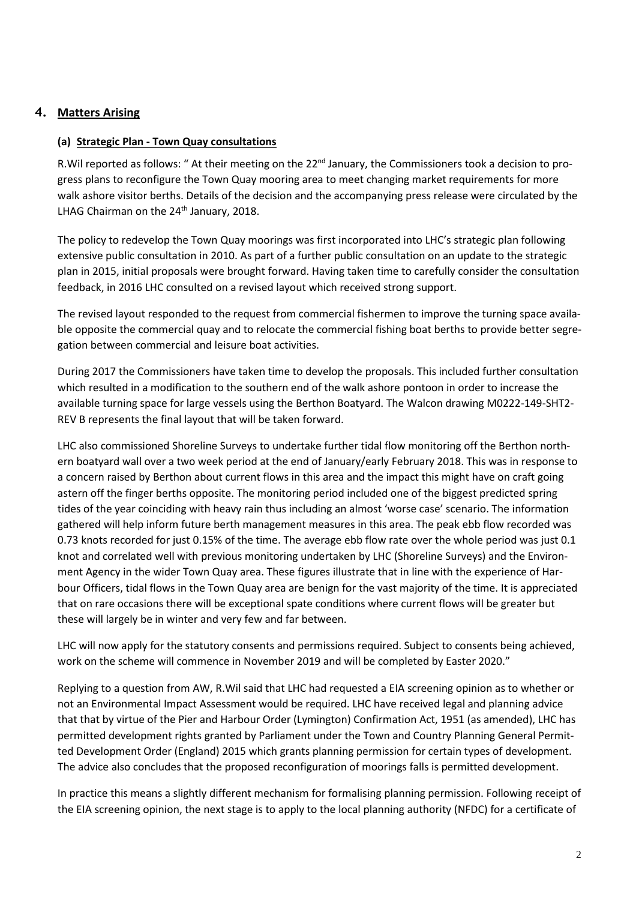## **4. Matters Arising**

### **(a) Strategic Plan - Town Quay consultations**

R. Wil reported as follows: " At their meeting on the 22<sup>nd</sup> January, the Commissioners took a decision to progress plans to reconfigure the Town Quay mooring area to meet changing market requirements for more walk ashore visitor berths. Details of the decision and the accompanying press release were circulated by the LHAG Chairman on the 24<sup>th</sup> January, 2018.

The policy to redevelop the Town Quay moorings was first incorporated into LHC's strategic plan following extensive public consultation in 2010. As part of a further public consultation on an update to the strategic plan in 2015, initial proposals were brought forward. Having taken time to carefully consider the consultation feedback, in 2016 LHC consulted on a revised layout which received strong support.

The revised layout responded to the request from commercial fishermen to improve the turning space available opposite the commercial quay and to relocate the commercial fishing boat berths to provide better segregation between commercial and leisure boat activities.

During 2017 the Commissioners have taken time to develop the proposals. This included further consultation which resulted in a modification to the southern end of the walk ashore pontoon in order to increase the available turning space for large vessels using the Berthon Boatyard. The Walcon drawing M0222-149-SHT2- REV B represents the final layout that will be taken forward.

LHC also commissioned Shoreline Surveys to undertake further tidal flow monitoring off the Berthon northern boatyard wall over a two week period at the end of January/early February 2018. This was in response to a concern raised by Berthon about current flows in this area and the impact this might have on craft going astern off the finger berths opposite. The monitoring period included one of the biggest predicted spring tides of the year coinciding with heavy rain thus including an almost 'worse case' scenario. The information gathered will help inform future berth management measures in this area. The peak ebb flow recorded was 0.73 knots recorded for just 0.15% of the time. The average ebb flow rate over the whole period was just 0.1 knot and correlated well with previous monitoring undertaken by LHC (Shoreline Surveys) and the Environment Agency in the wider Town Quay area. These figures illustrate that in line with the experience of Harbour Officers, tidal flows in the Town Quay area are benign for the vast majority of the time. It is appreciated that on rare occasions there will be exceptional spate conditions where current flows will be greater but these will largely be in winter and very few and far between.

LHC will now apply for the statutory consents and permissions required. Subject to consents being achieved, work on the scheme will commence in November 2019 and will be completed by Easter 2020."

Replying to a question from AW, R.Wil said that LHC had requested a EIA screening opinion as to whether or not an Environmental Impact Assessment would be required. LHC have received legal and planning advice that that by virtue of the Pier and Harbour Order (Lymington) Confirmation Act, 1951 (as amended), LHC has permitted development rights granted by Parliament under the Town and Country Planning General Permitted Development Order (England) 2015 which grants planning permission for certain types of development. The advice also concludes that the proposed reconfiguration of moorings falls is permitted development.

In practice this means a slightly different mechanism for formalising planning permission. Following receipt of the EIA screening opinion, the next stage is to apply to the local planning authority (NFDC) for a certificate of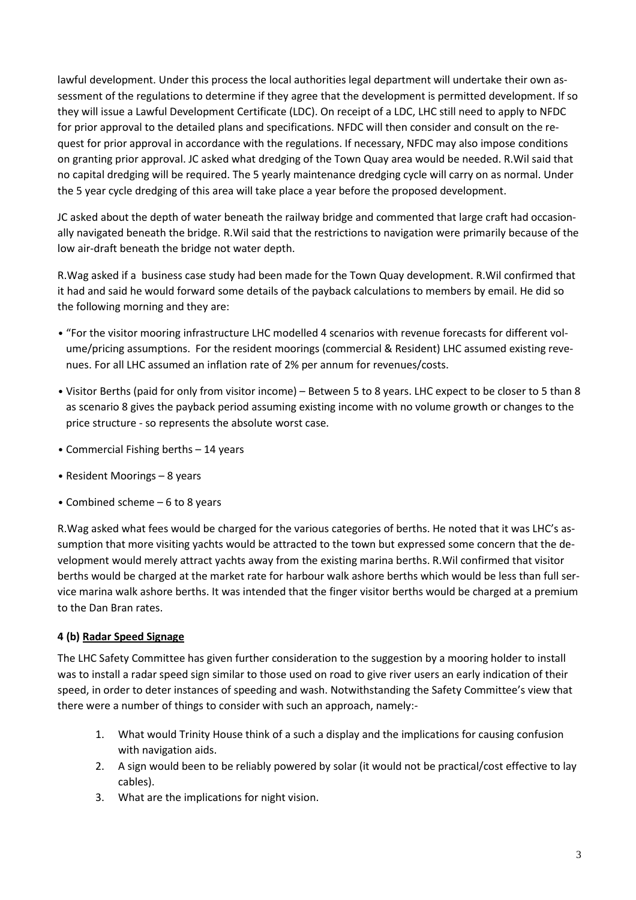lawful development. Under this process the local authorities legal department will undertake their own assessment of the regulations to determine if they agree that the development is permitted development. If so they will issue a Lawful Development Certificate (LDC). On receipt of a LDC, LHC still need to apply to NFDC for prior approval to the detailed plans and specifications. NFDC will then consider and consult on the request for prior approval in accordance with the regulations. If necessary, NFDC may also impose conditions on granting prior approval. JC asked what dredging of the Town Quay area would be needed. R.Wil said that no capital dredging will be required. The 5 yearly maintenance dredging cycle will carry on as normal. Under the 5 year cycle dredging of this area will take place a year before the proposed development.

JC asked about the depth of water beneath the railway bridge and commented that large craft had occasionally navigated beneath the bridge. R.Wil said that the restrictions to navigation were primarily because of the low air-draft beneath the bridge not water depth.

R.Wag asked if a business case study had been made for the Town Quay development. R.Wil confirmed that it had and said he would forward some details of the payback calculations to members by email. He did so the following morning and they are:

- "For the visitor mooring infrastructure LHC modelled 4 scenarios with revenue forecasts for different volume/pricing assumptions. For the resident moorings (commercial & Resident) LHC assumed existing revenues. For all LHC assumed an inflation rate of 2% per annum for revenues/costs.
- Visitor Berths (paid for only from visitor income) Between 5 to 8 years. LHC expect to be closer to 5 than 8 as scenario 8 gives the payback period assuming existing income with no volume growth or changes to the price structure - so represents the absolute worst case.
- Commercial Fishing berths 14 years
- Resident Moorings 8 years
- Combined scheme 6 to 8 years

R.Wag asked what fees would be charged for the various categories of berths. He noted that it was LHC's assumption that more visiting yachts would be attracted to the town but expressed some concern that the development would merely attract yachts away from the existing marina berths. R.Wil confirmed that visitor berths would be charged at the market rate for harbour walk ashore berths which would be less than full service marina walk ashore berths. It was intended that the finger visitor berths would be charged at a premium to the Dan Bran rates.

#### **4 (b) Radar Speed Signage**

The LHC Safety Committee has given further consideration to the suggestion by a mooring holder to install was to install a radar speed sign similar to those used on road to give river users an early indication of their speed, in order to deter instances of speeding and wash. Notwithstanding the Safety Committee's view that there were a number of things to consider with such an approach, namely:-

- 1. What would Trinity House think of a such a display and the implications for causing confusion with navigation aids.
- 2. A sign would been to be reliably powered by solar (it would not be practical/cost effective to lay cables).
- 3. What are the implications for night vision.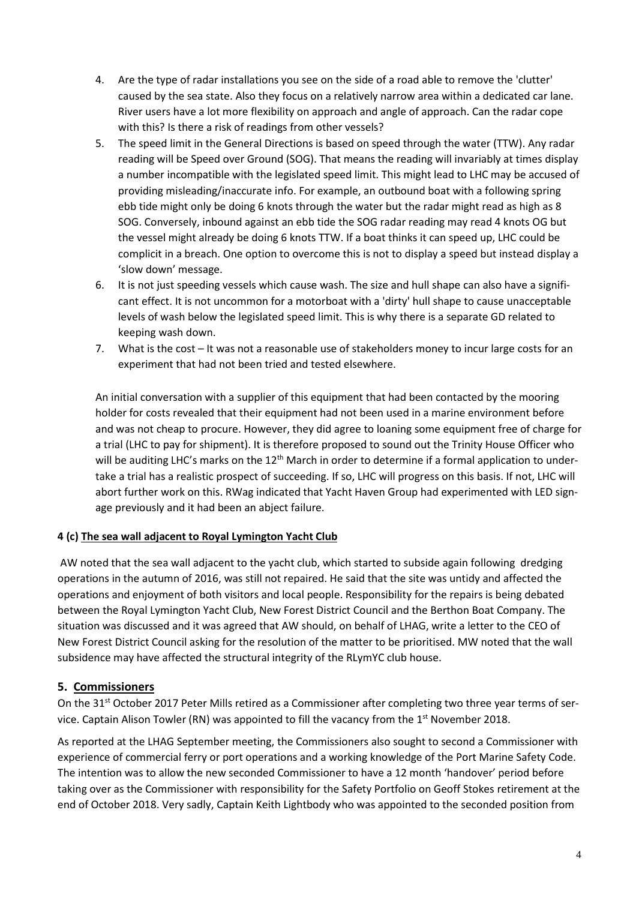- 4. Are the type of radar installations you see on the side of a road able to remove the 'clutter' caused by the sea state. Also they focus on a relatively narrow area within a dedicated car lane. River users have a lot more flexibility on approach and angle of approach. Can the radar cope with this? Is there a risk of readings from other vessels?
- 5. The speed limit in the General Directions is based on speed through the water (TTW). Any radar reading will be Speed over Ground (SOG). That means the reading will invariably at times display a number incompatible with the legislated speed limit. This might lead to LHC may be accused of providing misleading/inaccurate info. For example, an outbound boat with a following spring ebb tide might only be doing 6 knots through the water but the radar might read as high as 8 SOG. Conversely, inbound against an ebb tide the SOG radar reading may read 4 knots OG but the vessel might already be doing 6 knots TTW. If a boat thinks it can speed up, LHC could be complicit in a breach. One option to overcome this is not to display a speed but instead display a 'slow down' message.
- 6. It is not just speeding vessels which cause wash. The size and hull shape can also have a significant effect. It is not uncommon for a motorboat with a 'dirty' hull shape to cause unacceptable levels of wash below the legislated speed limit. This is why there is a separate GD related to keeping wash down.
- 7. What is the cost It was not a reasonable use of stakeholders money to incur large costs for an experiment that had not been tried and tested elsewhere.

An initial conversation with a supplier of this equipment that had been contacted by the mooring holder for costs revealed that their equipment had not been used in a marine environment before and was not cheap to procure. However, they did agree to loaning some equipment free of charge for a trial (LHC to pay for shipment). It is therefore proposed to sound out the Trinity House Officer who will be auditing LHC's marks on the  $12<sup>th</sup>$  March in order to determine if a formal application to undertake a trial has a realistic prospect of succeeding. If so, LHC will progress on this basis. If not, LHC will abort further work on this. RWag indicated that Yacht Haven Group had experimented with LED signage previously and it had been an abject failure.

## **4 (c) The sea wall adjacent to Royal Lymington Yacht Club**

AW noted that the sea wall adjacent to the yacht club, which started to subside again following dredging operations in the autumn of 2016, was still not repaired. He said that the site was untidy and affected the operations and enjoyment of both visitors and local people. Responsibility for the repairs is being debated between the Royal Lymington Yacht Club, New Forest District Council and the Berthon Boat Company. The situation was discussed and it was agreed that AW should, on behalf of LHAG, write a letter to the CEO of New Forest District Council asking for the resolution of the matter to be prioritised. MW noted that the wall subsidence may have affected the structural integrity of the RLymYC club house.

## **5. Commissioners**

On the 31<sup>st</sup> October 2017 Peter Mills retired as a Commissioner after completing two three year terms of service. Captain Alison Towler (RN) was appointed to fill the vacancy from the  $1<sup>st</sup>$  November 2018.

As reported at the LHAG September meeting, the Commissioners also sought to second a Commissioner with experience of commercial ferry or port operations and a working knowledge of the Port Marine Safety Code. The intention was to allow the new seconded Commissioner to have a 12 month 'handover' period before taking over as the Commissioner with responsibility for the Safety Portfolio on Geoff Stokes retirement at the end of October 2018. Very sadly, Captain Keith Lightbody who was appointed to the seconded position from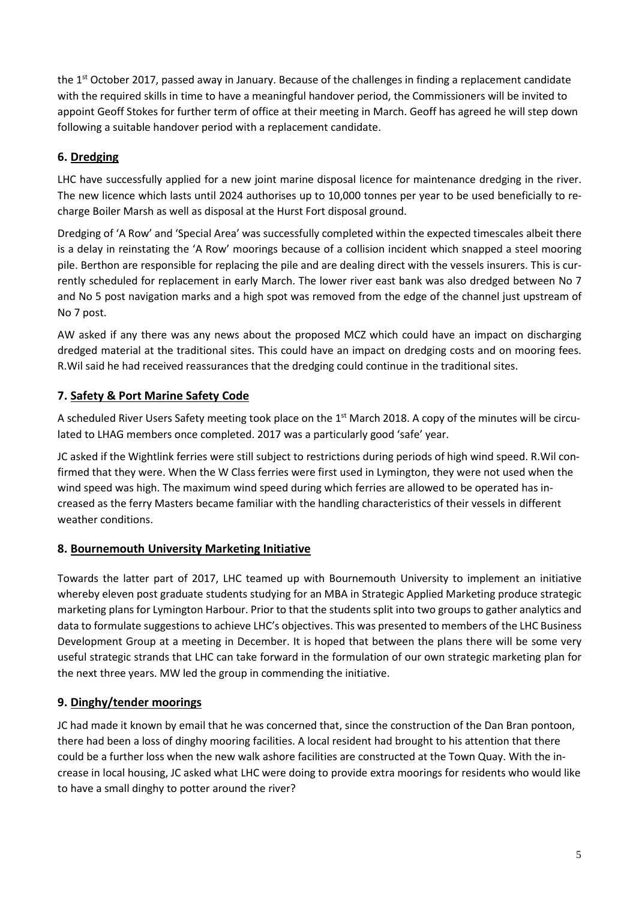the 1<sup>st</sup> October 2017, passed away in January. Because of the challenges in finding a replacement candidate with the required skills in time to have a meaningful handover period, the Commissioners will be invited to appoint Geoff Stokes for further term of office at their meeting in March. Geoff has agreed he will step down following a suitable handover period with a replacement candidate.

## **6. Dredging**

LHC have successfully applied for a new joint marine disposal licence for maintenance dredging in the river. The new licence which lasts until 2024 authorises up to 10,000 tonnes per year to be used beneficially to recharge Boiler Marsh as well as disposal at the Hurst Fort disposal ground.

Dredging of 'A Row' and 'Special Area' was successfully completed within the expected timescales albeit there is a delay in reinstating the 'A Row' moorings because of a collision incident which snapped a steel mooring pile. Berthon are responsible for replacing the pile and are dealing direct with the vessels insurers. This is currently scheduled for replacement in early March. The lower river east bank was also dredged between No 7 and No 5 post navigation marks and a high spot was removed from the edge of the channel just upstream of No 7 post.

AW asked if any there was any news about the proposed MCZ which could have an impact on discharging dredged material at the traditional sites. This could have an impact on dredging costs and on mooring fees. R.Wil said he had received reassurances that the dredging could continue in the traditional sites.

## **7. Safety & Port Marine Safety Code**

A scheduled River Users Safety meeting took place on the 1<sup>st</sup> March 2018. A copy of the minutes will be circulated to LHAG members once completed. 2017 was a particularly good 'safe' year.

JC asked if the Wightlink ferries were still subject to restrictions during periods of high wind speed. R.Wil confirmed that they were. When the W Class ferries were first used in Lymington, they were not used when the wind speed was high. The maximum wind speed during which ferries are allowed to be operated has increased as the ferry Masters became familiar with the handling characteristics of their vessels in different weather conditions.

## **8. Bournemouth University Marketing Initiative**

Towards the latter part of 2017, LHC teamed up with Bournemouth University to implement an initiative whereby eleven post graduate students studying for an MBA in Strategic Applied Marketing produce strategic marketing plans for Lymington Harbour. Prior to that the students split into two groups to gather analytics and data to formulate suggestions to achieve LHC's objectives. This was presented to members of the LHC Business Development Group at a meeting in December. It is hoped that between the plans there will be some very useful strategic strands that LHC can take forward in the formulation of our own strategic marketing plan for the next three years. MW led the group in commending the initiative.

# **9. Dinghy/tender moorings**

JC had made it known by email that he was concerned that, since the construction of the Dan Bran pontoon, there had been a loss of dinghy mooring facilities. A local resident had brought to his attention that there could be a further loss when the new walk ashore facilities are constructed at the Town Quay. With the increase in local housing, JC asked what LHC were doing to provide extra moorings for residents who would like to have a small dinghy to potter around the river?